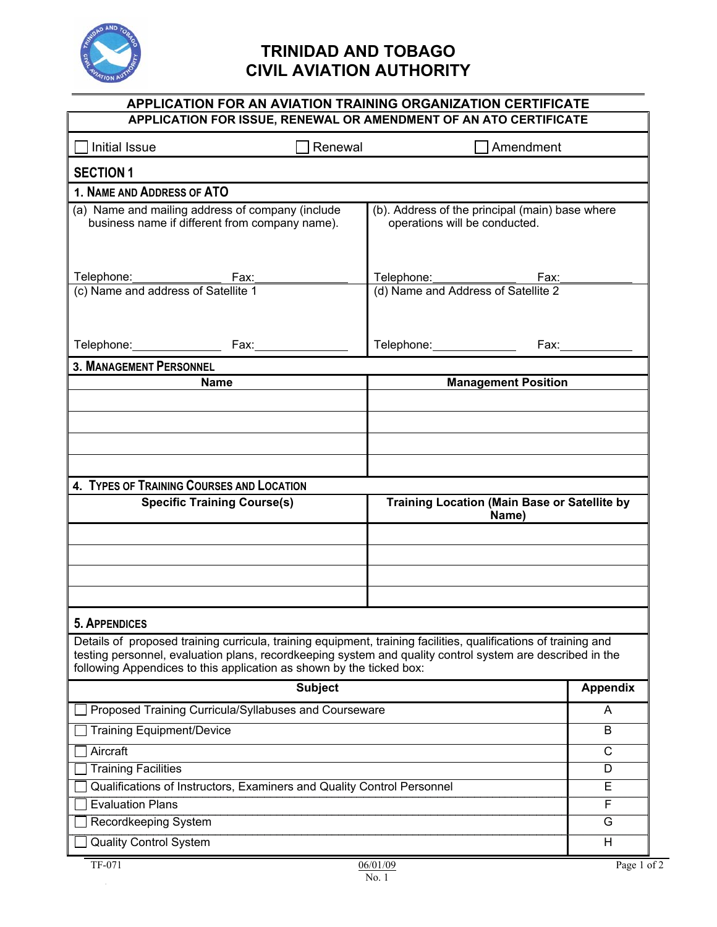

## **TRINIDAD AND TOBAGO CIVIL AVIATION AUTHORITY**

| <b>APPLICATION FOR AN AVIATION TRAINING ORGANIZATION CERTIFICATE</b><br>APPLICATION FOR ISSUE, RENEWAL OR AMENDMENT OF AN ATO CERTIFICATE                                                                                                                                                            |                                                                                  |                 |  |
|------------------------------------------------------------------------------------------------------------------------------------------------------------------------------------------------------------------------------------------------------------------------------------------------------|----------------------------------------------------------------------------------|-----------------|--|
|                                                                                                                                                                                                                                                                                                      |                                                                                  |                 |  |
|                                                                                                                                                                                                                                                                                                      | Initial Issue<br>Renewal<br>Amendment                                            |                 |  |
| <b>SECTION 1</b>                                                                                                                                                                                                                                                                                     |                                                                                  |                 |  |
| 1. NAME AND ADDRESS OF ATO                                                                                                                                                                                                                                                                           |                                                                                  |                 |  |
| (a) Name and mailing address of company (include<br>business name if different from company name).                                                                                                                                                                                                   | (b). Address of the principal (main) base where<br>operations will be conducted. |                 |  |
|                                                                                                                                                                                                                                                                                                      |                                                                                  |                 |  |
| Telephone: Fax: Fax:                                                                                                                                                                                                                                                                                 | Telephone: Fax: Fax: Gl) Name and Address of Satellite 2                         |                 |  |
|                                                                                                                                                                                                                                                                                                      |                                                                                  |                 |  |
| Telephone: Fax:                                                                                                                                                                                                                                                                                      |                                                                                  | Fax:_________   |  |
| <b>3. MANAGEMENT PERSONNEL</b>                                                                                                                                                                                                                                                                       |                                                                                  |                 |  |
| <b>Name</b>                                                                                                                                                                                                                                                                                          | <b>Management Position</b>                                                       |                 |  |
|                                                                                                                                                                                                                                                                                                      |                                                                                  |                 |  |
|                                                                                                                                                                                                                                                                                                      |                                                                                  |                 |  |
|                                                                                                                                                                                                                                                                                                      |                                                                                  |                 |  |
| 4. TYPES OF TRAINING COURSES AND LOCATION                                                                                                                                                                                                                                                            |                                                                                  |                 |  |
| <b>Specific Training Course(s)</b>                                                                                                                                                                                                                                                                   | <b>Training Location (Main Base or Satellite by</b><br>Name)                     |                 |  |
|                                                                                                                                                                                                                                                                                                      |                                                                                  |                 |  |
|                                                                                                                                                                                                                                                                                                      |                                                                                  |                 |  |
|                                                                                                                                                                                                                                                                                                      |                                                                                  |                 |  |
|                                                                                                                                                                                                                                                                                                      |                                                                                  |                 |  |
| 5. APPENDICES                                                                                                                                                                                                                                                                                        |                                                                                  |                 |  |
| Details of proposed training curricula, training equipment, training facilities, qualifications of training and<br>testing personnel, evaluation plans, recordkeeping system and quality control system are described in the<br>following Appendices to this application as shown by the ticked box: |                                                                                  |                 |  |
| <b>Subject</b>                                                                                                                                                                                                                                                                                       |                                                                                  | <b>Appendix</b> |  |
| Proposed Training Curricula/Syllabuses and Courseware                                                                                                                                                                                                                                                |                                                                                  | A               |  |
| <b>Training Equipment/Device</b>                                                                                                                                                                                                                                                                     |                                                                                  | B               |  |
| Aircraft                                                                                                                                                                                                                                                                                             |                                                                                  | C               |  |
| <b>Training Facilities</b>                                                                                                                                                                                                                                                                           |                                                                                  | D               |  |
| Qualifications of Instructors, Examiners and Quality Control Personnel                                                                                                                                                                                                                               |                                                                                  | Е               |  |
| <b>Evaluation Plans</b><br>Recordkeeping System                                                                                                                                                                                                                                                      |                                                                                  | F<br>G          |  |
| <b>Quality Control System</b>                                                                                                                                                                                                                                                                        |                                                                                  | Н               |  |
|                                                                                                                                                                                                                                                                                                      |                                                                                  |                 |  |